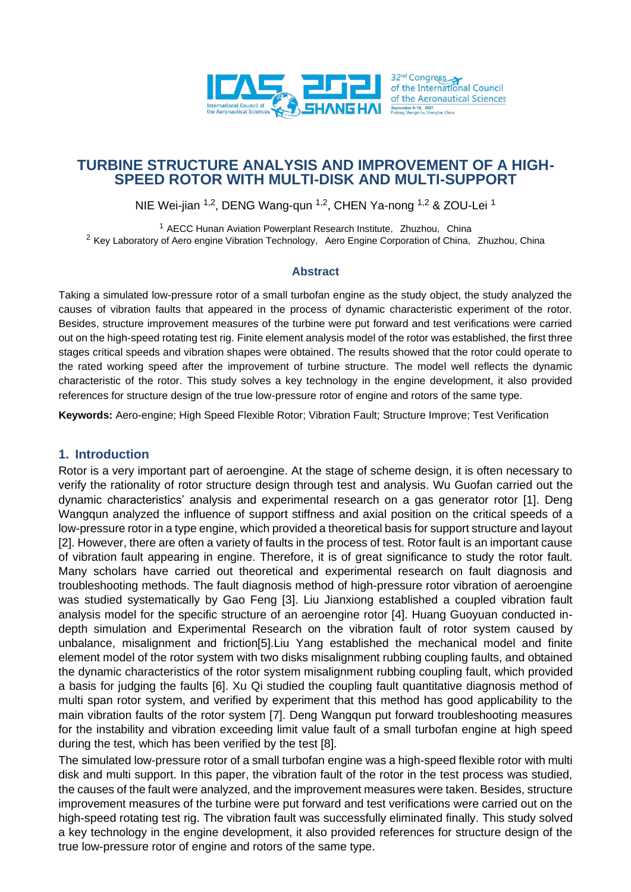

## **TURBINE STRUCTURE ANALYSIS AND IMPROVEMENT OF A HIGH-SPEED ROTOR WITH MULTI-DISK AND MULTI-SUPPORT**

NIE Wei-jian <sup>1,2</sup>, DENG Wang-qun <sup>1,2</sup>, CHEN Ya-nong <sup>1,2</sup> & ZOU-Lei <sup>1</sup>

<sup>1</sup> AECC Hunan Aviation Powerplant Research Institute, Zhuzhou, China <sup>2</sup> Key Laboratory of Aero engine Vibration Technology, Aero Engine Corporation of China, Zhuzhou, China

#### **Abstract**

Taking a simulated low-pressure rotor of a small turbofan engine as the study object, the study analyzed the causes of vibration faults that appeared in the process of dynamic characteristic experiment of the rotor. Besides, structure improvement measures of the turbine were put forward and test verifications were carried out on the high-speed rotating test rig. Finite element analysis model of the rotor was established, the first three stages critical speeds and vibration shapes were obtained. The results showed that the rotor could operate to the rated working speed after the improvement of turbine structure. The model well reflects the dynamic characteristic of the rotor. This study solves a key technology in the engine development, it also provided references for structure design of the true low-pressure rotor of engine and rotors of the same type.

**Keywords:** Aero-engine; High Speed Flexible Rotor; Vibration Fault; Structure Improve; Test Verification

#### **1. Introduction**

Rotor is a very important part of aeroengine. At the stage of scheme design, it is often necessary to verify the rationality of rotor structure design through test and analysis. Wu Guofan carried out the dynamic characteristics' analysis and experimental research on a gas generator rotor [1]. Deng Wangqun analyzed the influence of support stiffness and axial position on the critical speeds of a low-pressure rotor in a type engine, which provided a theoretical basis for support structure and layout [2]. However, there are often a variety of faults in the process of test. Rotor fault is an important cause of vibration fault appearing in engine. Therefore, it is of great significance to study the rotor fault. Many scholars have carried out theoretical and experimental research on fault diagnosis and troubleshooting methods. The fault diagnosis method of high-pressure rotor vibration of aeroengine was studied systematically by Gao Feng [3]. Liu Jianxiong established a coupled vibration fault analysis model for the specific structure of an aeroengine rotor [4]. Huang Guoyuan conducted indepth simulation and Experimental Research on the vibration fault of rotor system caused by unbalance, misalignment and friction[5].Liu Yang established the mechanical model and finite element model of the rotor system with two disks misalignment rubbing coupling faults, and obtained the dynamic characteristics of the rotor system misalignment rubbing coupling fault, which provided a basis for judging the faults [6]. Xu Qi studied the coupling fault quantitative diagnosis method of multi span rotor system, and verified by experiment that this method has good applicability to the main vibration faults of the rotor system [7]. Deng Wangqun put forward troubleshooting measures for the instability and vibration exceeding limit value fault of a small turbofan engine at high speed during the test, which has been verified by the test [8].

The simulated low-pressure rotor of a small turbofan engine was a high-speed flexible rotor with multi disk and multi support. In this paper, the vibration fault of the rotor in the test process was studied, the causes of the fault were analyzed, and the improvement measures were taken. Besides, structure improvement measures of the turbine were put forward and test verifications were carried out on the high-speed rotating test rig. The vibration fault was successfully eliminated finally. This study solved a key technology in the engine development, it also provided references for structure design of the true low-pressure rotor of engine and rotors of the same type.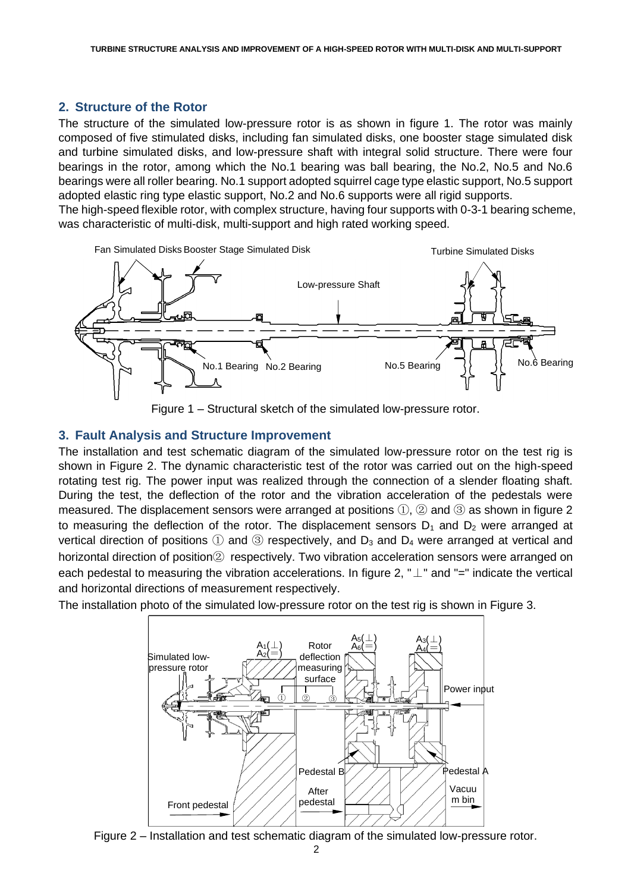### **2. Structure of the Rotor**

The structure of the simulated low-pressure rotor is as shown in figure 1. The rotor was mainly composed of five stimulated disks, including fan simulated disks, one booster stage simulated disk and turbine simulated disks, and low-pressure shaft with integral solid structure. There were four bearings in the rotor, among which the No.1 bearing was ball bearing, the No.2, No.5 and No.6 bearings were all roller bearing. No.1 support adopted squirrel cage type elastic support, No.5 support adopted elastic ring type elastic support, No.2 and No.6 supports were all rigid supports.

The high-speed flexible rotor, with complex structure, having four supports with 0-3-1 bearing scheme, was characteristic of multi-disk, multi-support and high rated working speed.



Figure 1 – Structural sketch of the simulated low-pressure rotor.

#### **3. Fault Analysis and Structure Improvement**

The installation and test schematic diagram of the simulated low-pressure rotor on the test rig is shown in Figure 2. The dynamic characteristic test of the rotor was carried out on the high-speed rotating test rig. The power input was realized through the connection of a slender floating shaft. During the test, the deflection of the rotor and the vibration acceleration of the pedestals were measured. The displacement sensors were arranged at positions ①, ② and ③ as shown in figure 2 to measuring the deflection of the rotor. The displacement sensors  $D_1$  and  $D_2$  were arranged at vertical direction of positions  $\circled{1}$  and  $\circled{3}$  respectively, and  $D_3$  and  $D_4$  were arranged at vertical and horizontal direction of position  $\oslash$  respectively. Two vibration acceleration sensors were arranged on each pedestal to measuring the vibration accelerations. In figure 2, " $\perp$ " and "=" indicate the vertical and horizontal directions of measurement respectively.

The installation photo of the simulated low-pressure rotor on the test rig is shown in Figure 3.



Figure 2 – Installation and test schematic diagram of the simulated low-pressure rotor.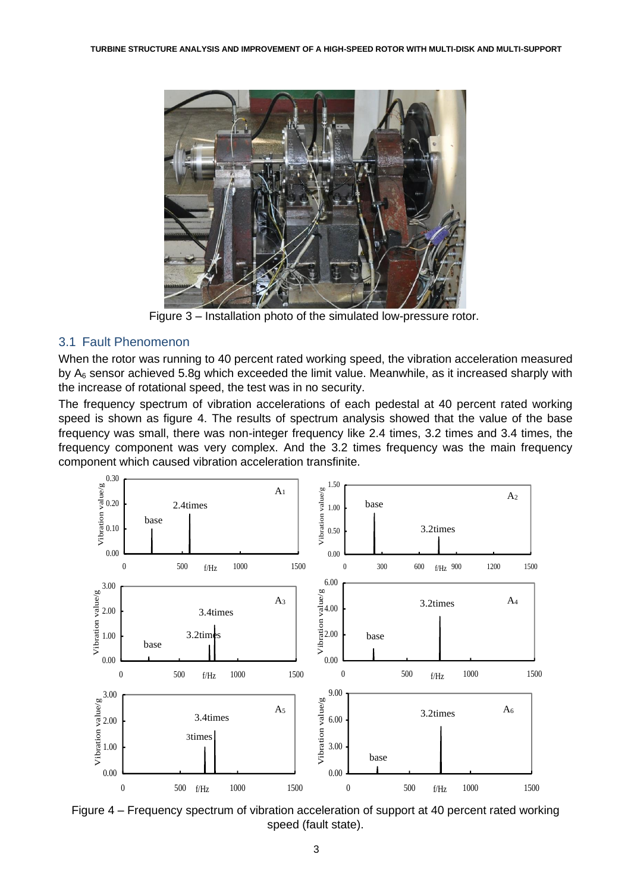

Figure 3 – Installation photo of the simulated low-pressure rotor.

#### 3.1 Fault Phenomenon

When the rotor was running to 40 percent rated working speed, the vibration acceleration measured by  $A_6$  sensor achieved 5.8g which exceeded the limit value. Meanwhile, as it increased sharply with the increase of rotational speed, the test was in no security.

The frequency spectrum of vibration accelerations of each pedestal at 40 percent rated working speed is shown as figure 4. The results of spectrum analysis showed that the value of the base frequency was small, there was non-integer frequency like 2.4 times, 3.2 times and 3.4 times, the frequency component was very complex. And the 3.2 times frequency was the main frequency component which caused vibration acceleration transfinite.



Figure 4 – Frequency spectrum of vibration acceleration of support at 40 percent rated working speed (fault state).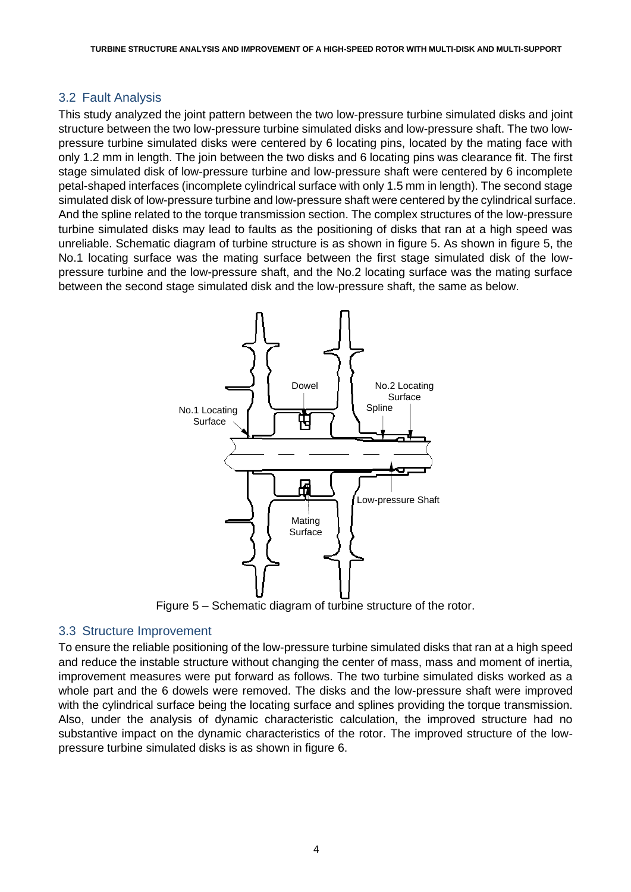### 3.2 Fault Analysis

This study analyzed the joint pattern between the two low-pressure turbine simulated disks and joint structure between the two low-pressure turbine simulated disks and low-pressure shaft. The two lowpressure turbine simulated disks were centered by 6 locating pins, located by the mating face with only 1.2 mm in length. The join between the two disks and 6 locating pins was clearance fit. The first stage simulated disk of low-pressure turbine and low-pressure shaft were centered by 6 incomplete petal-shaped interfaces (incomplete cylindrical surface with only 1.5 mm in length). The second stage simulated disk of low-pressure turbine and low-pressure shaft were centered by the cylindrical surface. And the spline related to the torque transmission section. The complex structures of the low-pressure turbine simulated disks may lead to faults as the positioning of disks that ran at a high speed was unreliable. Schematic diagram of turbine structure is as shown in figure 5. As shown in figure 5, the No.1 locating surface was the mating surface between the first stage simulated disk of the lowpressure turbine and the low-pressure shaft, and the No.2 locating surface was the mating surface between the second stage simulated disk and the low-pressure shaft, the same as below.



Figure 5 – Schematic diagram of turbine structure of the rotor.

## 3.3 Structure Improvement

To ensure the reliable positioning of the low-pressure turbine simulated disks that ran at a high speed and reduce the instable structure without changing the center of mass, mass and moment of inertia, improvement measures were put forward as follows. The two turbine simulated disks worked as a whole part and the 6 dowels were removed. The disks and the low-pressure shaft were improved with the cylindrical surface being the locating surface and splines providing the torque transmission. Also, under the analysis of dynamic characteristic calculation, the improved structure had no substantive impact on the dynamic characteristics of the rotor. The improved structure of the lowpressure turbine simulated disks is as shown in figure 6.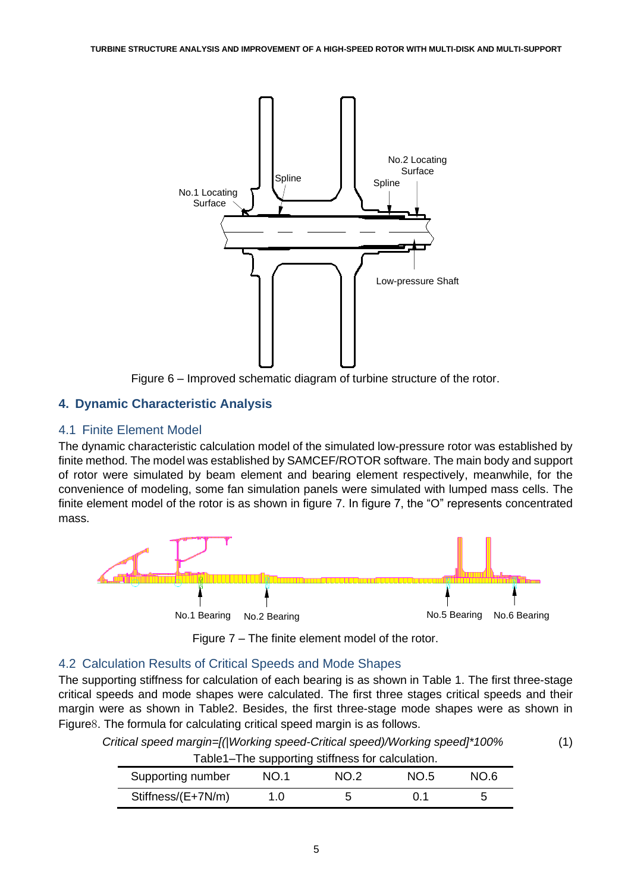

Figure 6 – Improved schematic diagram of turbine structure of the rotor.

## **4. Dynamic Characteristic Analysis**

#### 4.1 Finite Element Model

The dynamic characteristic calculation model of the simulated low-pressure rotor was established by finite method. The model was established by SAMCEF/ROTOR software. The main body and support of rotor were simulated by beam element and bearing element respectively, meanwhile, for the convenience of modeling, some fan simulation panels were simulated with lumped mass cells. The finite element model of the rotor is as shown in figure 7. In figure 7, the "O" represents concentrated mass.



Figure 7 – The finite element model of the rotor.

## 4.2 Calculation Results of Critical Speeds and Mode Shapes

The supporting stiffness for calculation of each bearing is as shown in Table 1. The first three-stage critical speeds and mode shapes were calculated. The first three stages critical speeds and their margin were as shown in Table2. Besides, the first three-stage mode shapes were as shown in Figure8. The formula for calculating critical speed margin is as follows.

*Critical speed margin=[(|Working speed-Critical speed)/Working speed]\*100%* (1)

| Table1-The supporting stiffness for calculation. |      |      |      |      |  |  |  |  |
|--------------------------------------------------|------|------|------|------|--|--|--|--|
| Supporting number                                | NO.1 | NO.2 | NO.5 | NO 6 |  |  |  |  |
| Stiffness/(E+7N/m)                               | 1.0  | 5    | O 1  | h    |  |  |  |  |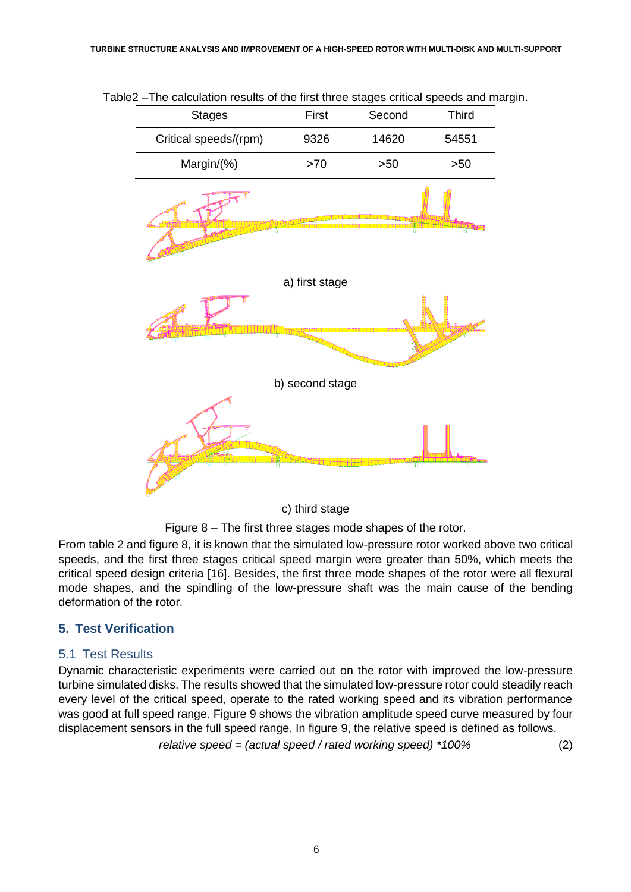

Table2 –The calculation results of the first three stages critical speeds and margin.

c) third stage

Figure 8 – The first three stages mode shapes of the rotor.

From table 2 and figure 8, it is known that the simulated low-pressure rotor worked above two critical speeds, and the first three stages critical speed margin were greater than 50%, which meets the critical speed design criteria [16]. Besides, the first three mode shapes of the rotor were all flexural mode shapes, and the spindling of the low-pressure shaft was the main cause of the bending deformation of the rotor.

## **5. Test Verification**

#### 5.1 Test Results

Dynamic characteristic experiments were carried out on the rotor with improved the low-pressure turbine simulated disks. The results showed that the simulated low-pressure rotor could steadily reach every level of the critical speed, operate to the rated working speed and its vibration performance was good at full speed range. Figure 9 shows the vibration amplitude speed curve measured by four displacement sensors in the full speed range. In figure 9, the relative speed is defined as follows.

*relative speed = (actual speed / rated working speed) \*100%* (2)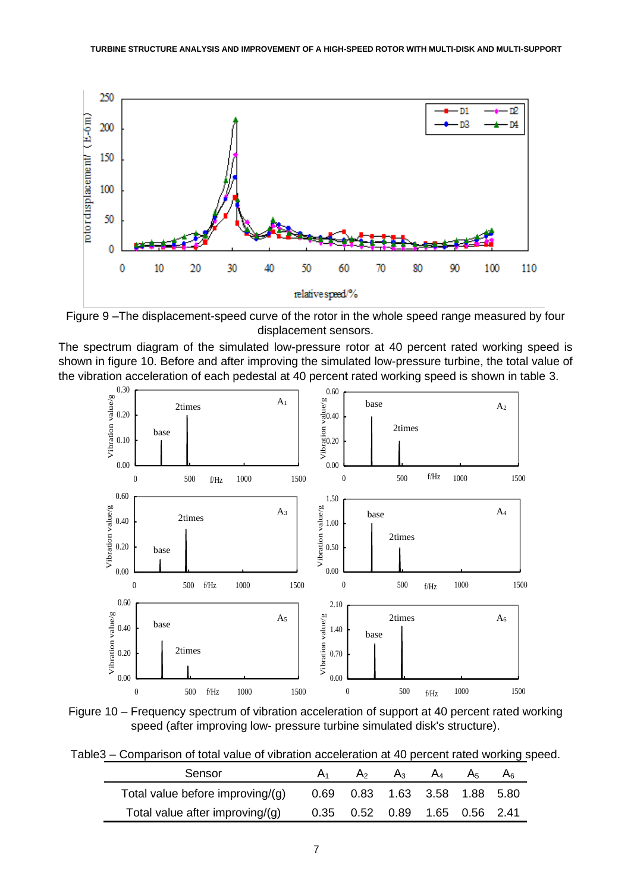

Figure 9 –The displacement-speed curve of the rotor in the whole speed range measured by four displacement sensors.

The spectrum diagram of the simulated low-pressure rotor at 40 percent rated working speed is shown in figure 10. Before and after improving the simulated low-pressure turbine, the total value of the vibration acceleration of each pedestal at 40 percent rated working speed is shown in table 3.



Figure 10 – Frequency spectrum of vibration acceleration of support at 40 percent rated working speed (after improving low- pressure turbine simulated disk's structure).

Table3 – Comparison of total value of vibration acceleration at 40 percent rated working speed.

| Sensor                           | A <sub>2</sub>                     | $A_3$ | $A_4$ | A5 | Ar |
|----------------------------------|------------------------------------|-------|-------|----|----|
| Total value before improving/(g) | 0.69 0.83 1.63 3.58 1.88 5.80      |       |       |    |    |
| Total value after improving/(g)  | 0.35  0.52  0.89  1.65  0.56  2.41 |       |       |    |    |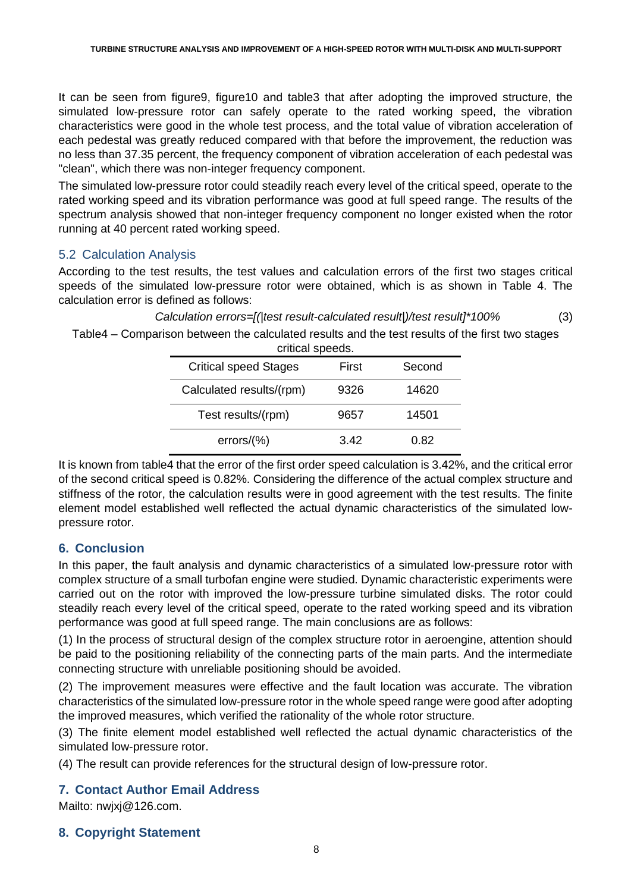It can be seen from figure9, figure10 and table3 that after adopting the improved structure, the simulated low-pressure rotor can safely operate to the rated working speed, the vibration characteristics were good in the whole test process, and the total value of vibration acceleration of each pedestal was greatly reduced compared with that before the improvement, the reduction was no less than 37.35 percent, the frequency component of vibration acceleration of each pedestal was "clean", which there was non-integer frequency component.

The simulated low-pressure rotor could steadily reach every level of the critical speed, operate to the rated working speed and its vibration performance was good at full speed range. The results of the spectrum analysis showed that non-integer frequency component no longer existed when the rotor running at 40 percent rated working speed.

## 5.2 Calculation Analysis

According to the test results, the test values and calculation errors of the first two stages critical speeds of the simulated low-pressure rotor were obtained, which is as shown in Table 4. The calculation error is defined as follows:

*Calculation errors=[(|test result-calculated result|)/test result]\*100%* (3)

# Table4 – Comparison between the calculated results and the test results of the first two stages

| <b>Critical speed Stages</b> | First | Second |  |
|------------------------------|-------|--------|--|
| Calculated results/(rpm)     | 9326  | 14620  |  |
| Test results/(rpm)           | 9657  | 14501  |  |
| errors/(%)                   | 3.42  | 0.82   |  |

It is known from table4 that the error of the first order speed calculation is 3.42%, and the critical error of the second critical speed is 0.82%. Considering the difference of the actual complex structure and stiffness of the rotor, the calculation results were in good agreement with the test results. The finite element model established well reflected the actual dynamic characteristics of the simulated lowpressure rotor.

# **6. Conclusion**

In this paper, the fault analysis and dynamic characteristics of a simulated low-pressure rotor with complex structure of a small turbofan engine were studied. Dynamic characteristic experiments were carried out on the rotor with improved the low-pressure turbine simulated disks. The rotor could steadily reach every level of the critical speed, operate to the rated working speed and its vibration performance was good at full speed range. The main conclusions are as follows:

(1) In the process of structural design of the complex structure rotor in aeroengine, attention should be paid to the positioning reliability of the connecting parts of the main parts. And the intermediate connecting structure with unreliable positioning should be avoided.

(2) The improvement measures were effective and the fault location was accurate. The vibration characteristics of the simulated low-pressure rotor in the whole speed range were good after adopting the improved measures, which verified the rationality of the whole rotor structure.

(3) The finite element model established well reflected the actual dynamic characteristics of the simulated low-pressure rotor.

(4) The result can provide references for the structural design of low-pressure rotor.

# **7. Contact Author Email Address**

Mailto: nwjxj@126.com.

## **8. Copyright Statement**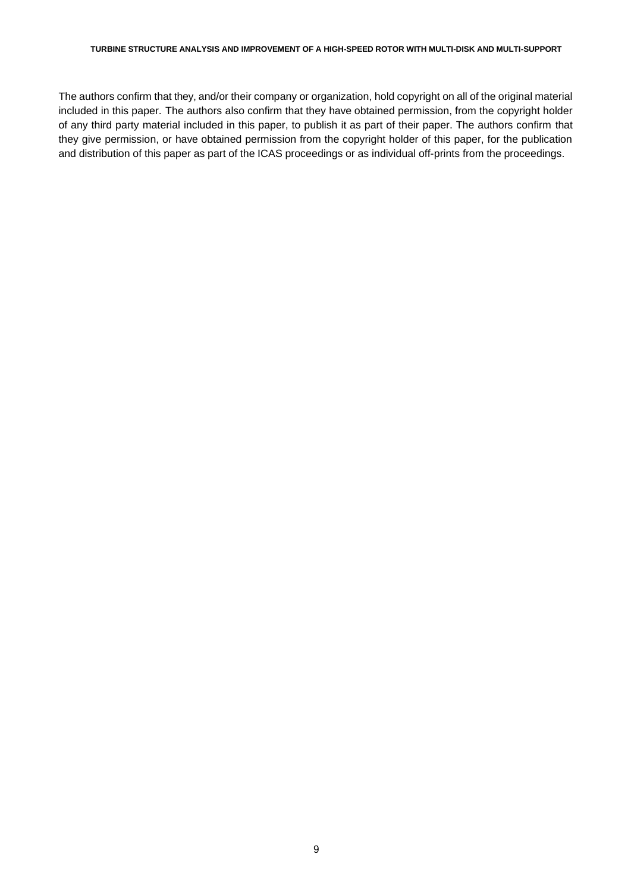#### **TURBINE STRUCTURE ANALYSIS AND IMPROVEMENT OF A HIGH-SPEED ROTOR WITH MULTI-DISK AND MULTI-SUPPORT**

The authors confirm that they, and/or their company or organization, hold copyright on all of the original material included in this paper. The authors also confirm that they have obtained permission, from the copyright holder of any third party material included in this paper, to publish it as part of their paper. The authors confirm that they give permission, or have obtained permission from the copyright holder of this paper, for the publication and distribution of this paper as part of the ICAS proceedings or as individual off-prints from the proceedings.